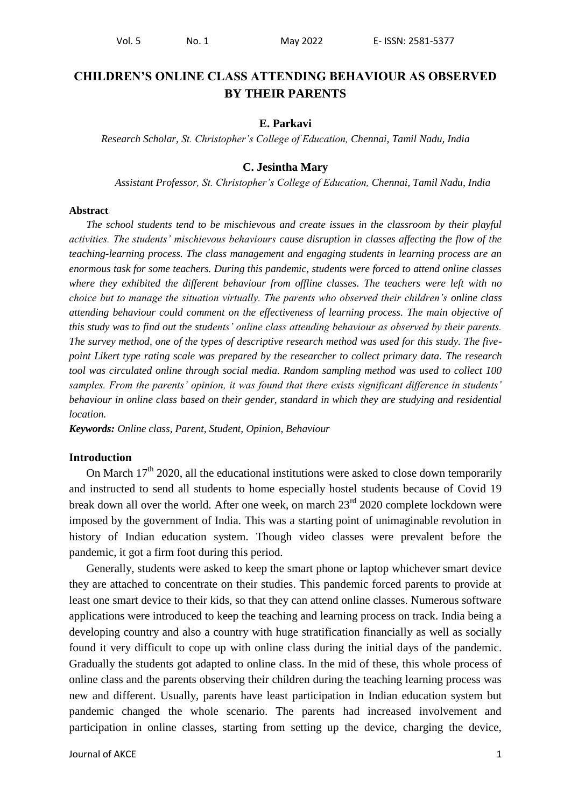# **CHILDREN'S ONLINE CLASS ATTENDING BEHAVIOUR AS OBSERVED BY THEIR PARENTS**

### **E. Parkavi**

*Research Scholar, St. Christopher's College of Education, Chennai, Tamil Nadu, India*

### **C. Jesintha Mary**

*Assistant Professor, St. Christopher's College of Education, Chennai, Tamil Nadu, India*

#### **Abstract**

*The school students tend to be mischievous and create issues in the classroom by their playful activities. The students' mischievous behaviours cause disruption in classes affecting the flow of the teaching-learning process. The class management and engaging students in learning process are an enormous task for some teachers. During this pandemic, students were forced to attend online classes where they exhibited the different behaviour from offline classes. The teachers were left with no choice but to manage the situation virtually. The parents who observed their children's online class attending behaviour could comment on the effectiveness of learning process. The main objective of this study was to find out the students' online class attending behaviour as observed by their parents. The survey method, one of the types of descriptive research method was used for this study. The fivepoint Likert type rating scale was prepared by the researcher to collect primary data. The research tool was circulated online through social media. Random sampling method was used to collect 100 samples. From the parents' opinion, it was found that there exists significant difference in students' behaviour in online class based on their gender, standard in which they are studying and residential location.*

*Keywords: Online class, Parent, Student, Opinion, Behaviour*

### **Introduction**

On March  $17<sup>th</sup>$  2020, all the educational institutions were asked to close down temporarily and instructed to send all students to home especially hostel students because of Covid 19 break down all over the world. After one week, on march  $23<sup>rd</sup>$  2020 complete lockdown were imposed by the government of India. This was a starting point of unimaginable revolution in history of Indian education system. Though video classes were prevalent before the pandemic, it got a firm foot during this period.

Generally, students were asked to keep the smart phone or laptop whichever smart device they are attached to concentrate on their studies. This pandemic forced parents to provide at least one smart device to their kids, so that they can attend online classes. Numerous software applications were introduced to keep the teaching and learning process on track. India being a developing country and also a country with huge stratification financially as well as socially found it very difficult to cope up with online class during the initial days of the pandemic. Gradually the students got adapted to online class. In the mid of these, this whole process of online class and the parents observing their children during the teaching learning process was new and different. Usually, parents have least participation in Indian education system but pandemic changed the whole scenario. The parents had increased involvement and participation in online classes, starting from setting up the device, charging the device,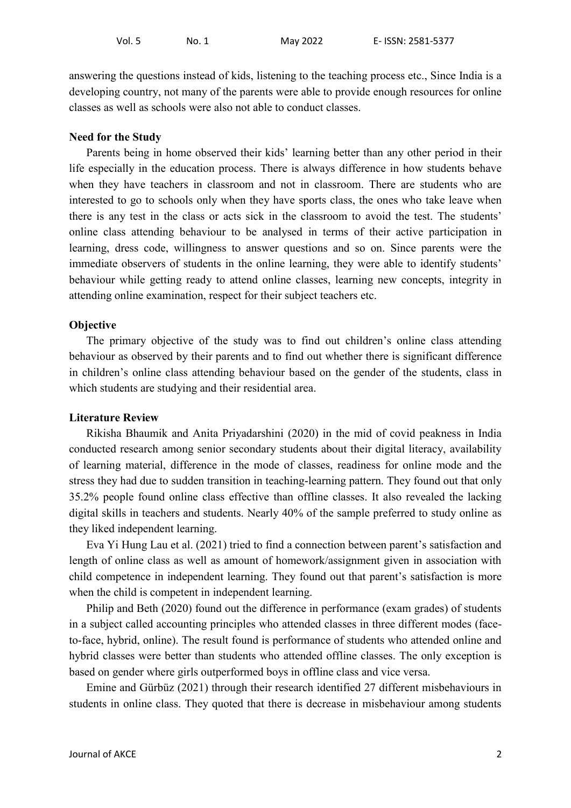answering the questions instead of kids, listening to the teaching process etc., Since India is a developing country, not many of the parents were able to provide enough resources for online classes as well as schools were also not able to conduct classes.

### **Need for the Study**

Parents being in home observed their kids' learning better than any other period in their life especially in the education process. There is always difference in how students behave when they have teachers in classroom and not in classroom. There are students who are interested to go to schools only when they have sports class, the ones who take leave when there is any test in the class or acts sick in the classroom to avoid the test. The students' online class attending behaviour to be analysed in terms of their active participation in learning, dress code, willingness to answer questions and so on. Since parents were the immediate observers of students in the online learning, they were able to identify students' behaviour while getting ready to attend online classes, learning new concepts, integrity in attending online examination, respect for their subject teachers etc.

### **Objective**

The primary objective of the study was to find out children's online class attending behaviour as observed by their parents and to find out whether there is significant difference in children's online class attending behaviour based on the gender of the students, class in which students are studying and their residential area.

### **Literature Review**

Rikisha Bhaumik and Anita Priyadarshini (2020) in the mid of covid peakness in India conducted research among senior secondary students about their digital literacy, availability of learning material, difference in the mode of classes, readiness for online mode and the stress they had due to sudden transition in teaching-learning pattern. They found out that only 35.2% people found online class effective than offline classes. It also revealed the lacking digital skills in teachers and students. Nearly 40% of the sample preferred to study online as they liked independent learning.

Eva Yi Hung Lau et al. (2021) tried to find a connection between parent's satisfaction and length of online class as well as amount of homework/assignment given in association with child competence in independent learning. They found out that parent's satisfaction is more when the child is competent in independent learning.

Philip and Beth (2020) found out the difference in performance (exam grades) of students in a subject called accounting principles who attended classes in three different modes (faceto-face, hybrid, online). The result found is performance of students who attended online and hybrid classes were better than students who attended offline classes. The only exception is based on gender where girls outperformed boys in offline class and vice versa.

Emine and Gürbüz (2021) through their research identified 27 different misbehaviours in students in online class. They quoted that there is decrease in misbehaviour among students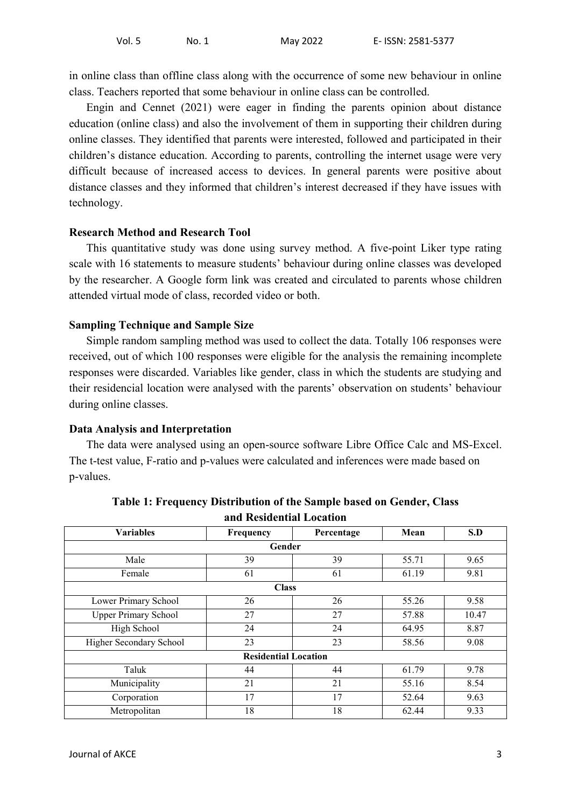in online class than offline class along with the occurrence of some new behaviour in online class. Teachers reported that some behaviour in online class can be controlled.

Engin and Cennet (2021) were eager in finding the parents opinion about distance education (online class) and also the involvement of them in supporting their children during online classes. They identified that parents were interested, followed and participated in their children's distance education. According to parents, controlling the internet usage were very difficult because of increased access to devices. In general parents were positive about distance classes and they informed that children's interest decreased if they have issues with technology.

# **Research Method and Research Tool**

This quantitative study was done using survey method. A five-point Liker type rating scale with 16 statements to measure students' behaviour during online classes was developed by the researcher. A Google form link was created and circulated to parents whose children attended virtual mode of class, recorded video or both.

# **Sampling Technique and Sample Size**

Simple random sampling method was used to collect the data. Totally 106 responses were received, out of which 100 responses were eligible for the analysis the remaining incomplete responses were discarded. Variables like gender, class in which the students are studying and their residencial location were analysed with the parents' observation on students' behaviour during online classes.

## **Data Analysis and Interpretation**

The data were analysed using an open-source software Libre Office Calc and MS-Excel. The t-test value, F-ratio and p-values were calculated and inferences were made based on p-values.

| anu Resiuchtiai Location    |                             |            |       |       |  |  |  |  |  |
|-----------------------------|-----------------------------|------------|-------|-------|--|--|--|--|--|
| <b>Variables</b>            | Frequency                   | Percentage | Mean  | S.D   |  |  |  |  |  |
| Gender                      |                             |            |       |       |  |  |  |  |  |
| Male                        | 39                          | 39         | 55.71 | 9.65  |  |  |  |  |  |
| Female                      | 61                          | 61         | 61.19 | 9.81  |  |  |  |  |  |
|                             | <b>Class</b>                |            |       |       |  |  |  |  |  |
| Lower Primary School        | 26                          | 26         | 55.26 | 9.58  |  |  |  |  |  |
| <b>Upper Primary School</b> | 27                          | 27         | 57.88 | 10.47 |  |  |  |  |  |
| High School                 | 24                          | 24         | 64.95 | 8.87  |  |  |  |  |  |
| Higher Secondary School     | 23                          | 23         | 58.56 | 9.08  |  |  |  |  |  |
|                             | <b>Residential Location</b> |            |       |       |  |  |  |  |  |
| Taluk                       | 44                          | 44         | 61.79 | 9.78  |  |  |  |  |  |
| Municipality                | 21                          | 21         | 55.16 | 8.54  |  |  |  |  |  |
| Corporation                 | 17                          | 17         | 52.64 | 9.63  |  |  |  |  |  |
| Metropolitan                | 18                          | 18         | 62.44 | 9.33  |  |  |  |  |  |

**Table 1: Frequency Distribution of the Sample based on Gender, Class and Residential Location**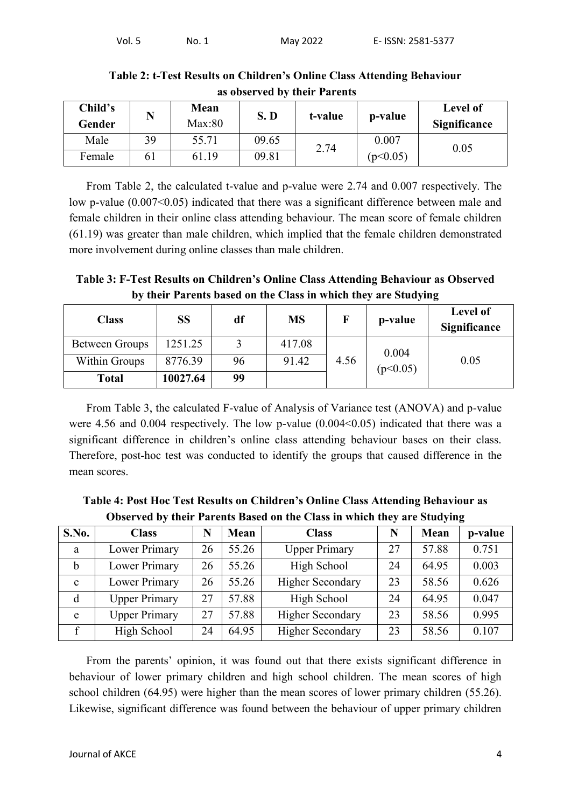| Child's<br>Gender | N  | Mean<br>Max:80 | S.D   | t-value | p-value  | Level of<br><b>Significance</b> |
|-------------------|----|----------------|-------|---------|----------|---------------------------------|
| Male              | 39 | 55.71          | 09.65 | 2.74    | 0.007    | 0.05                            |
| Female            | 61 | 61.19          | 09.81 |         | (p<0.05) |                                 |

**Table 2: t-Test Results on Children's Online Class Attending Behaviour as observed by their Parents**

From Table 2, the calculated t-value and p-value were 2.74 and 0.007 respectively. The low p-value (0.007<0.05) indicated that there was a significant difference between male and female children in their online class attending behaviour. The mean score of female children (61.19) was greater than male children, which implied that the female children demonstrated more involvement during online classes than male children.

**Table 3: F-Test Results on Children's Online Class Attending Behaviour as Observed by their Parents based on the Class in which they are Studying**

| <b>Class</b>         | SS       | df | <b>MS</b> |      | p-value  | Level of<br><b>Significance</b> |
|----------------------|----------|----|-----------|------|----------|---------------------------------|
| Between Groups       | 1251.25  |    | 417.08    |      | 0.004    |                                 |
| <b>Within Groups</b> | 8776.39  | 96 | 91.42     | 4.56 | (p<0.05) | 0.05                            |
| <b>Total</b>         | 10027.64 | 99 |           |      |          |                                 |

From Table 3, the calculated F-value of Analysis of Variance test (ANOVA) and p-value were 4.56 and 0.004 respectively. The low p-value  $(0.004<0.05)$  indicated that there was a significant difference in children's online class attending behaviour bases on their class. Therefore, post-hoc test was conducted to identify the groups that caused difference in the mean scores.

**Table 4: Post Hoc Test Results on Children's Online Class Attending Behaviour as Observed by their Parents Based on the Class in which they are Studying**

| S.No.        | <b>Class</b>         | Ñ  | Mean  | <b>Class</b>            |    | Mean  | p-value |
|--------------|----------------------|----|-------|-------------------------|----|-------|---------|
| a            | Lower Primary        | 26 | 55.26 | <b>Upper Primary</b>    | 27 | 57.88 | 0.751   |
| b            | Lower Primary        | 26 | 55.26 | High School             | 24 | 64.95 | 0.003   |
| $\mathbf{c}$ | Lower Primary        | 26 | 55.26 | <b>Higher Secondary</b> | 23 | 58.56 | 0.626   |
| d            | <b>Upper Primary</b> | 27 | 57.88 | High School             | 24 | 64.95 | 0.047   |
| e            | <b>Upper Primary</b> | 27 | 57.88 | <b>Higher Secondary</b> | 23 | 58.56 | 0.995   |
|              | High School          | 24 | 64.95 | <b>Higher Secondary</b> | 23 | 58.56 | 0.107   |

From the parents' opinion, it was found out that there exists significant difference in behaviour of lower primary children and high school children. The mean scores of high school children (64.95) were higher than the mean scores of lower primary children (55.26). Likewise, significant difference was found between the behaviour of upper primary children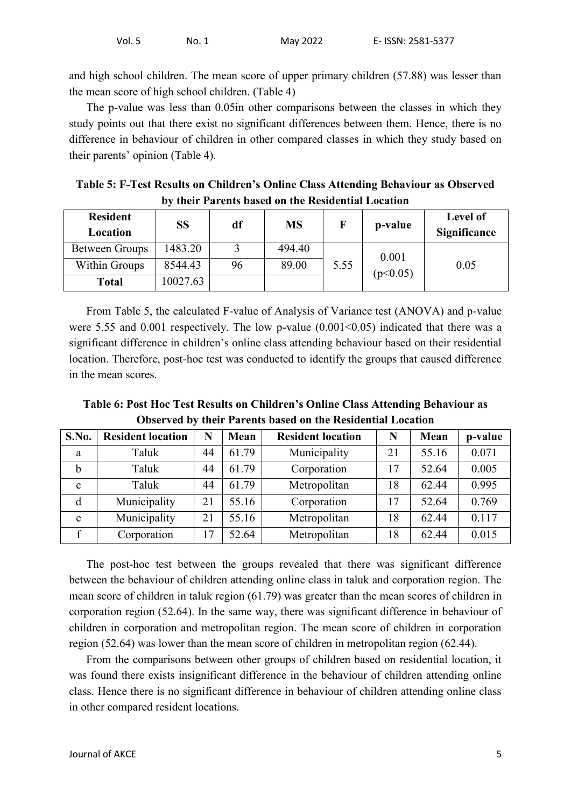and high school children. The mean score of upper primary children (57.88) was lesser than the mean score of high school children. (Table 4)

The p-value was less than 0.05in other comparisons between the classes in which they study points out that there exist no significant differences between them. Hence, there is no difference in behaviour of children in other compared classes in which they study based on their parents' opinion (Table 4).

| Table 5: F-Test Results on Children's Online Class Attending Behaviour as Observed |  |
|------------------------------------------------------------------------------------|--|
| by their Parents based on the Residential Location                                 |  |

| <b>Resident</b><br>Location | <b>SS</b> | df | <b>MS</b> |      | p-value  | Level of<br><b>Significance</b> |
|-----------------------------|-----------|----|-----------|------|----------|---------------------------------|
| <b>Between Groups</b>       | 1483.20   |    | 494.40    |      | 0.001    |                                 |
| <b>Within Groups</b>        | 8544.43   | 96 | 89.00     | 5.55 | (p<0.05) | 0.05                            |
| <b>Total</b>                | 10027.63  |    |           |      |          |                                 |

From Table 5, the calculated F-value of Analysis of Variance test (ANOVA) and p-value were 5.55 and  $0.001$  respectively. The low p-value  $(0.001<0.05)$  indicated that there was a significant difference in children's online class attending behaviour based on their residential location. Therefore, post-hoc test was conducted to identify the groups that caused difference in the mean scores.

**Table 6: Post Hoc Test Results on Children's Online Class Attending Behaviour as Observed by their Parents based on the Residential Location**

| S.No.        | <b>Resident location</b> | N  | Mean  | <b>Resident location</b> | N  | Mean  | p-value |
|--------------|--------------------------|----|-------|--------------------------|----|-------|---------|
| a            | Taluk                    | 44 | 61.79 | Municipality             | 21 | 55.16 | 0.071   |
| b            | Taluk                    | 44 | 61.79 | Corporation              | 17 | 52.64 | 0.005   |
| $\mathbf{c}$ | Taluk                    | 44 | 61.79 | Metropolitan             | 18 | 62.44 | 0.995   |
| d            | Municipality             | 21 | 55.16 | Corporation              | 17 | 52.64 | 0.769   |
| e            | Municipality             | 21 | 55.16 | Metropolitan             | 18 | 62.44 | 0.117   |
|              | Corporation              |    | 52.64 | Metropolitan             | 18 | 62.44 | 0.015   |

The post-hoc test between the groups revealed that there was significant difference between the behaviour of children attending online class in taluk and corporation region. The mean score of children in taluk region (61.79) was greater than the mean scores of children in corporation region (52.64). In the same way, there was significant difference in behaviour of children in corporation and metropolitan region. The mean score of children in corporation region (52.64) was lower than the mean score of children in metropolitan region (62.44).

From the comparisons between other groups of children based on residential location, it was found there exists insignificant difference in the behaviour of children attending online class. Hence there is no significant difference in behaviour of children attending online class in other compared resident locations.